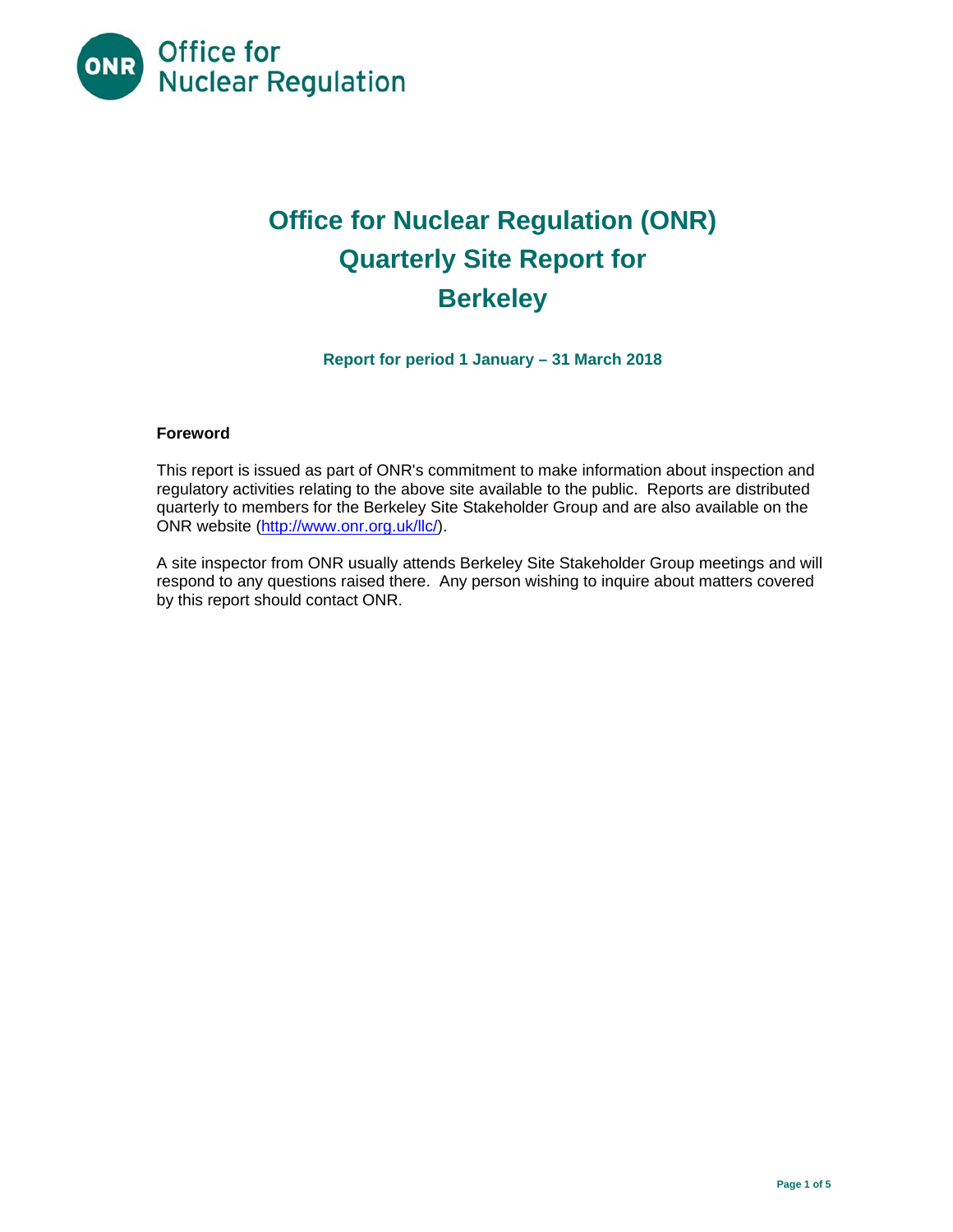

# **Office for Nuclear Regulation (ONR) Quarterly Site Report for Berkeley**

**Report for period 1 January – 31 March 2018** 

## **Foreword**

This report is issued as part of ONR's commitment to make information about inspection and regulatory activities relating to the above site available to the public. Reports are distributed quarterly to members for the Berkeley Site Stakeholder Group and are also available on the ONR website (http://www.onr.org.uk/llc/).

A site inspector from ONR usually attends Berkeley Site Stakeholder Group meetings and will respond to any questions raised there. Any person wishing to inquire about matters covered by this report should contact ONR.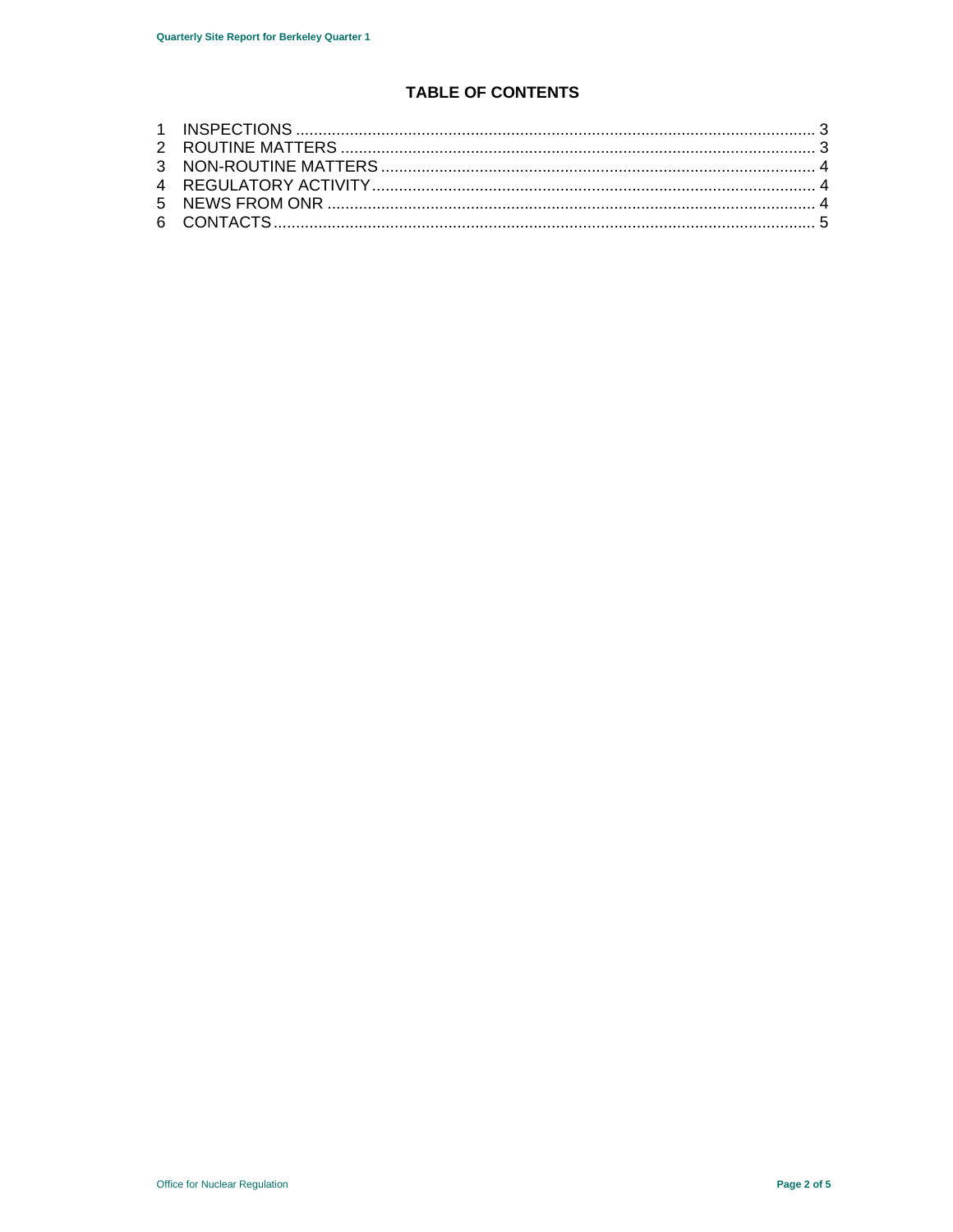# **TABLE OF CONTENTS**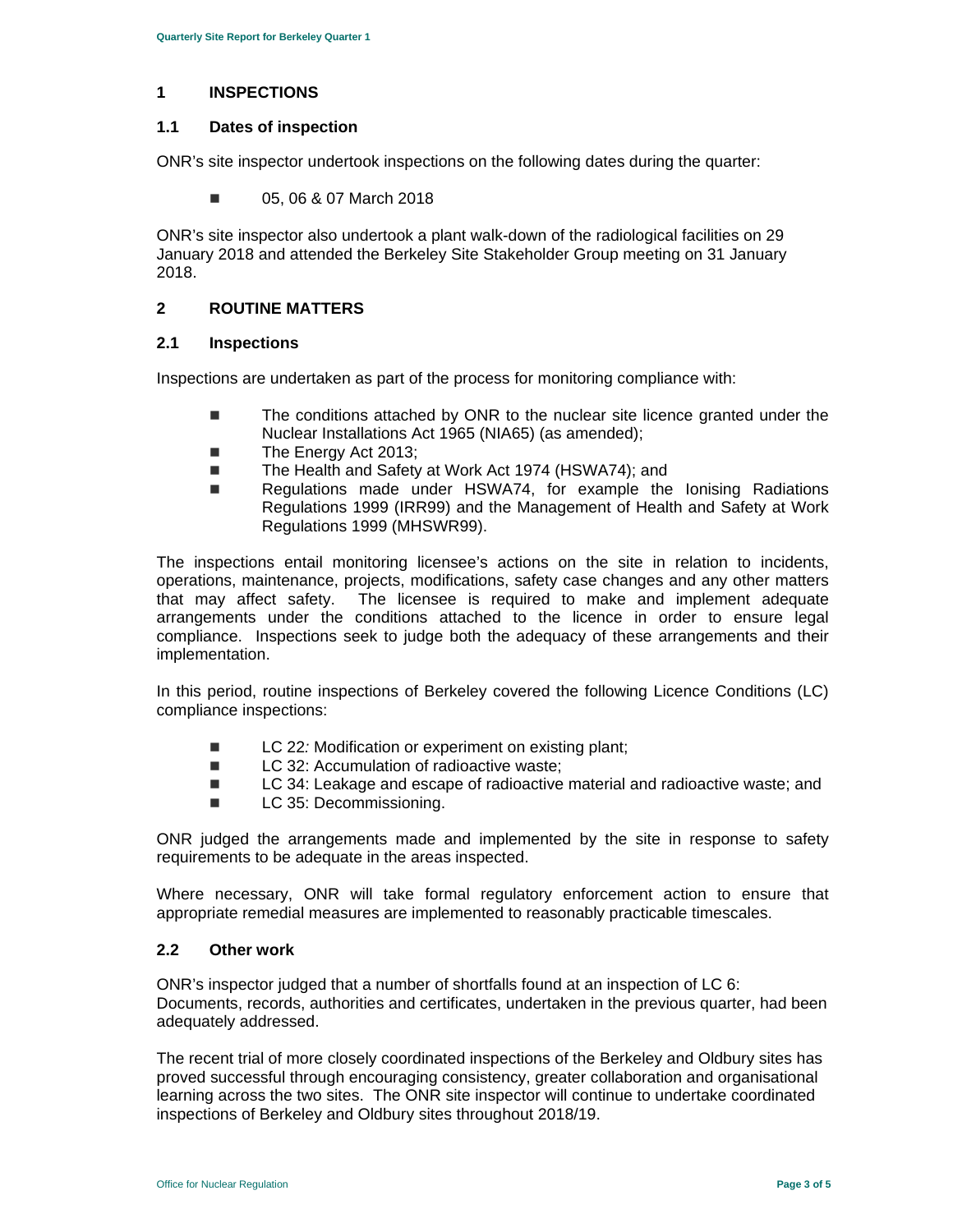#### **1 INSPECTIONS**

#### **1.1 Dates of inspection**

ONR's site inspector undertook inspections on the following dates during the quarter:

**05, 06 & 07 March 2018** 

ONR's site inspector also undertook a plant walk-down of the radiological facilities on 29 January 2018 and attended the Berkeley Site Stakeholder Group meeting on 31 January 2018.

#### **2 ROUTINE MATTERS**

#### **2.1 Inspections**

Inspections are undertaken as part of the process for monitoring compliance with:

- The conditions attached by ONR to the nuclear site licence granted under the Nuclear Installations Act 1965 (NIA65) (as amended);
- The Energy Act 2013;
- The Health and Safety at Work Act 1974 (HSWA74); and
- Regulations made under HSWA74, for example the lonising Radiations Regulations 1999 (IRR99) and the Management of Health and Safety at Work Regulations 1999 (MHSWR99).

The inspections entail monitoring licensee's actions on the site in relation to incidents, operations, maintenance, projects, modifications, safety case changes and any other matters that may affect safety. The licensee is required to make and implement adequate arrangements under the conditions attached to the licence in order to ensure legal compliance. Inspections seek to judge both the adequacy of these arrangements and their implementation.

In this period, routine inspections of Berkeley covered the following Licence Conditions (LC) compliance inspections:

- LC 22*:* Modification or experiment on existing plant:
- LC 32: Accumulation of radioactive waste;
- LC 34: Leakage and escape of radioactive material and radioactive waste; and
- **LC 35: Decommissioning.**

ONR judged the arrangements made and implemented by the site in response to safety requirements to be adequate in the areas inspected.

Where necessary, ONR will take formal regulatory enforcement action to ensure that appropriate remedial measures are implemented to reasonably practicable timescales.

#### **2.2 Other work**

ONR's inspector judged that a number of shortfalls found at an inspection of LC 6: Documents, records, authorities and certificates, undertaken in the previous quarter, had been adequately addressed.

The recent trial of more closely coordinated inspections of the Berkeley and Oldbury sites has proved successful through encouraging consistency, greater collaboration and organisational learning across the two sites. The ONR site inspector will continue to undertake coordinated inspections of Berkeley and Oldbury sites throughout 2018/19.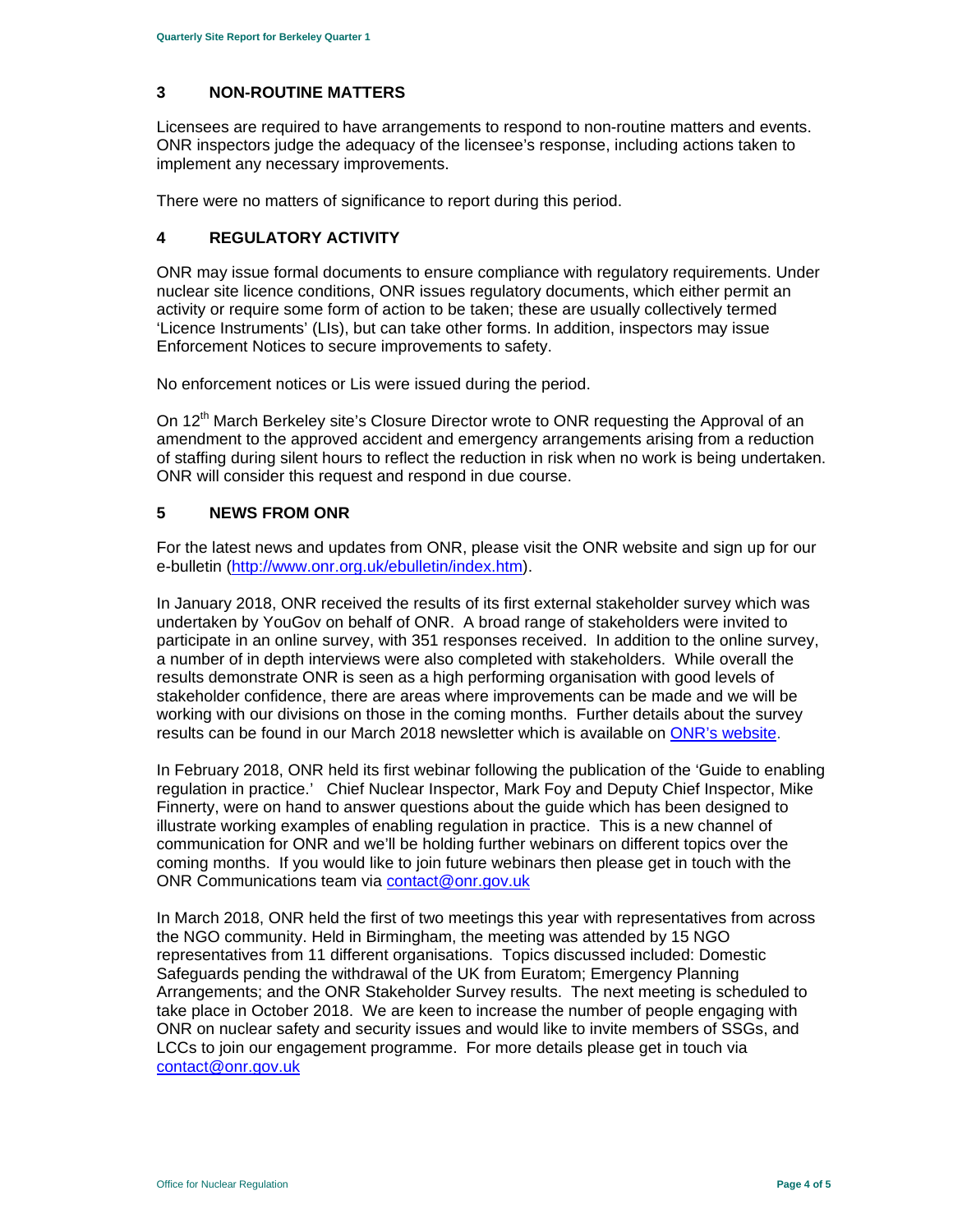## **3 NON-ROUTINE MATTERS**

Licensees are required to have arrangements to respond to non-routine matters and events. ONR inspectors judge the adequacy of the licensee's response, including actions taken to implement any necessary improvements.

There were no matters of significance to report during this period.

## **4 REGULATORY ACTIVITY**

ONR may issue formal documents to ensure compliance with regulatory requirements. Under nuclear site licence conditions, ONR issues regulatory documents, which either permit an activity or require some form of action to be taken; these are usually collectively termed 'Licence Instruments' (LIs), but can take other forms. In addition, inspectors may issue Enforcement Notices to secure improvements to safety.

No enforcement notices or Lis were issued during the period.

On 12<sup>th</sup> March Berkeley site's Closure Director wrote to ONR requesting the Approval of an amendment to the approved accident and emergency arrangements arising from a reduction of staffing during silent hours to reflect the reduction in risk when no work is being undertaken. ONR will consider this request and respond in due course.

#### **5 NEWS FROM ONR**

For the latest news and updates from ONR, please visit the ONR website and sign up for our e-bulletin (http://www.onr.org.uk/ebulletin/index.htm).

In January 2018, ONR received the results of its first external stakeholder survey which was undertaken by YouGov on behalf of ONR. A broad range of stakeholders were invited to participate in an online survey, with 351 responses received. In addition to the online survey, a number of in depth interviews were also completed with stakeholders. While overall the results demonstrate ONR is seen as a high performing organisation with good levels of stakeholder confidence, there are areas where improvements can be made and we will be working with our divisions on those in the coming months. Further details about the survey results can be found in our March 2018 newsletter which is available on ONR's website.

In February 2018, ONR held its first webinar following the publication of the 'Guide to enabling regulation in practice.' Chief Nuclear Inspector, Mark Foy and Deputy Chief Inspector, Mike Finnerty, were on hand to answer questions about the guide which has been designed to illustrate working examples of enabling regulation in practice. This is a new channel of communication for ONR and we'll be holding further webinars on different topics over the coming months. If you would like to join future webinars then please get in touch with the ONR Communications team via contact@onr.gov.uk

In March 2018, ONR held the first of two meetings this year with representatives from across the NGO community. Held in Birmingham, the meeting was attended by 15 NGO representatives from 11 different organisations. Topics discussed included: Domestic Safeguards pending the withdrawal of the UK from Euratom; Emergency Planning Arrangements; and the ONR Stakeholder Survey results. The next meeting is scheduled to take place in October 2018. We are keen to increase the number of people engaging with ONR on nuclear safety and security issues and would like to invite members of SSGs, and LCCs to join our engagement programme. For more details please get in touch via contact@onr.gov.uk